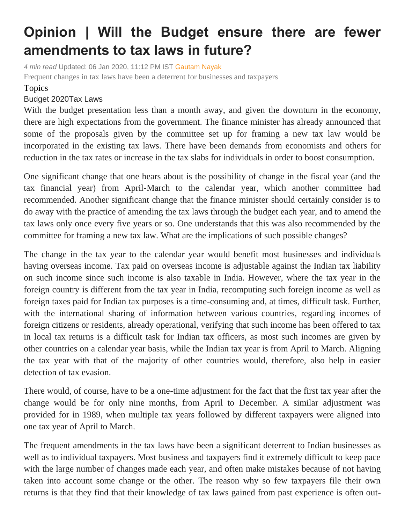## **Opinion | Will the Budget ensure there are fewer amendments to tax laws in future?**

*4 min read* Updated: 06 Jan 2020, 11:12 PM IST [Gautam Nayak](https://www.livemint.com/Search/Link/Author/Gautam%20Nayak) Frequent changes in tax laws have been a deterrent for businesses and taxpayers

## Topics

## [Budget](https://www.livemint.com/topic/budget-2020) 202[0Tax Laws](https://www.livemint.com/topic/budget-2020)

With the budget presentation less than a month away, and given the downturn in the economy, there are high expectations from the government. The finance minister has already announced that some of the proposals given by the committee set up for framing a new tax law would be incorporated in the existing tax laws. There have been demands from economists and others for reduction in the tax rates or increase in the tax slabs for individuals in order to boost consumption.

One significant change that one hears about is the possibility of change in the fiscal year (and the tax financial year) from April-March to the calendar year, which another committee had recommended. Another significant change that the finance minister should certainly consider is to do away with the practice of amending the tax laws through the budget each year, and to amend the tax laws only once every five years or so. One understands that this was also recommended by the committee for framing a new tax law. What are the implications of such possible changes?

The change in the tax year to the calendar year would benefit most businesses and individuals having overseas income. Tax paid on overseas income is adjustable against the Indian tax liability on such income since such income is also taxable in India. However, where the tax year in the foreign country is different from the tax year in India, recomputing such foreign income as well as foreign taxes paid for Indian tax purposes is a time-consuming and, at times, difficult task. Further, with the international sharing of information between various countries, regarding incomes of foreign citizens or residents, already operational, verifying that such income has been offered to tax in local tax returns is a difficult task for Indian tax officers, as most such incomes are given by other countries on a calendar year basis, while the Indian tax year is from April to March. Aligning the tax year with that of the majority of other countries would, therefore, also help in easier detection of tax evasion.

There would, of course, have to be a one-time adjustment for the fact that the first tax year after the change would be for only nine months, from April to December. A similar adjustment was provided for in 1989, when multiple tax years followed by different taxpayers were aligned into one tax year of April to March.

The frequent amendments in the tax laws have been a significant deterrent to Indian businesses as well as to individual taxpayers. Most business and taxpayers find it extremely difficult to keep pace with the large number of changes made each year, and often make mistakes because of not having taken into account some change or the other. The reason why so few taxpayers file their own returns is that they find that their knowledge of tax laws gained from past experience is often out